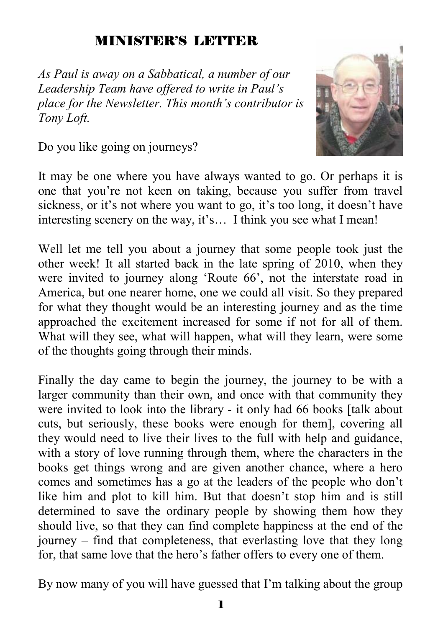### MINISTER'S LETTER

*As Paul is away on a Sabbatical, a number of our Leadership Team have offered to write in Paul's place for the Newsletter. This month's contributor is Tony Loft.* 



Do you like going on journeys?

It may be one where you have always wanted to go. Or perhaps it is one that you're not keen on taking, because you suffer from travel sickness, or it's not where you want to go, it's too long, it doesn't have interesting scenery on the way, it's… I think you see what I mean!

Well let me tell you about a journey that some people took just the other week! It all started back in the late spring of 2010, when they were invited to journey along 'Route 66', not the interstate road in America, but one nearer home, one we could all visit. So they prepared for what they thought would be an interesting journey and as the time approached the excitement increased for some if not for all of them. What will they see, what will happen, what will they learn, were some of the thoughts going through their minds.

Finally the day came to begin the journey, the journey to be with a larger community than their own, and once with that community they were invited to look into the library - it only had 66 books [talk about cuts, but seriously, these books were enough for them], covering all they would need to live their lives to the full with help and guidance, with a story of love running through them, where the characters in the books get things wrong and are given another chance, where a hero comes and sometimes has a go at the leaders of the people who don't like him and plot to kill him. But that doesn't stop him and is still determined to save the ordinary people by showing them how they should live, so that they can find complete happiness at the end of the journey – find that completeness, that everlasting love that they long for, that same love that the hero's father offers to every one of them.

By now many of you will have guessed that I'm talking about the group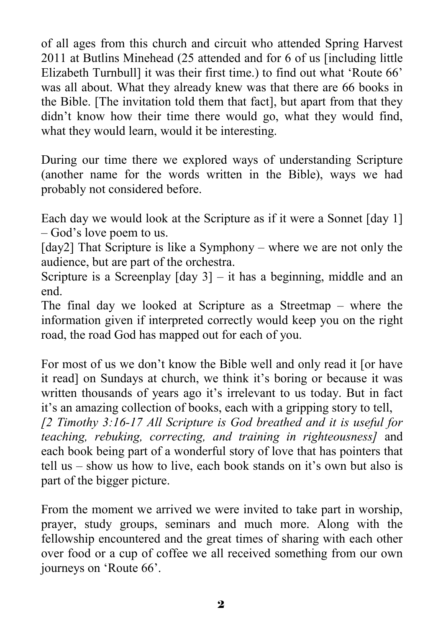of all ages from this church and circuit who attended Spring Harvest 2011 at Butlins Minehead (25 attended and for 6 of us [including little Elizabeth Turnbull] it was their first time.) to find out what 'Route 66' was all about. What they already knew was that there are 66 books in the Bible. [The invitation told them that fact], but apart from that they didn't know how their time there would go, what they would find, what they would learn, would it be interesting.

During our time there we explored ways of understanding Scripture (another name for the words written in the Bible), ways we had probably not considered before.

Each day we would look at the Scripture as if it were a Sonnet [day 1] – God's love poem to us.

[day2] That Scripture is like a Symphony – where we are not only the audience, but are part of the orchestra.

Scripture is a Screenplay  $\lceil \text{day } 3 \rceil - \text{it}$  has a beginning, middle and an end.

The final day we looked at Scripture as a Streetmap – where the information given if interpreted correctly would keep you on the right road, the road God has mapped out for each of you.

For most of us we don't know the Bible well and only read it [or have it read] on Sundays at church, we think it's boring or because it was written thousands of years ago it's irrelevant to us today. But in fact it's an amazing collection of books, each with a gripping story to tell,

*[2 Timothy 3:16-17 All Scripture is God breathed and it is useful for teaching, rebuking, correcting, and training in righteousness]* and each book being part of a wonderful story of love that has pointers that tell us – show us how to live, each book stands on it's own but also is part of the bigger picture.

From the moment we arrived we were invited to take part in worship, prayer, study groups, seminars and much more. Along with the fellowship encountered and the great times of sharing with each other over food or a cup of coffee we all received something from our own journeys on 'Route 66'.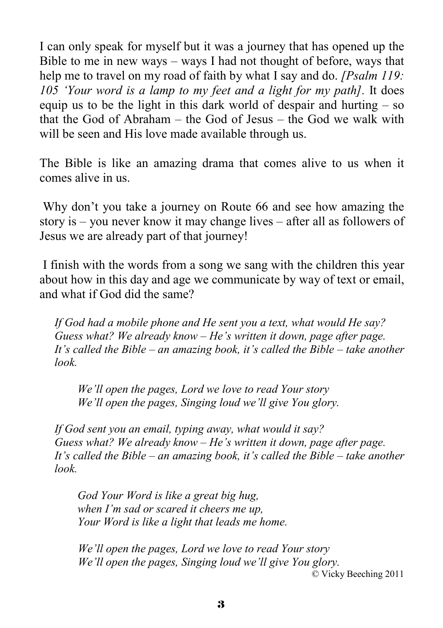I can only speak for myself but it was a journey that has opened up the Bible to me in new ways – ways I had not thought of before, ways that help me to travel on my road of faith by what I say and do. *[Psalm 119: 105 'Your word is a lamp to my feet and a light for my path].* It does equip us to be the light in this dark world of despair and hurting  $-$  so that the God of Abraham – the God of Jesus – the God we walk with will be seen and His love made available through us.

The Bible is like an amazing drama that comes alive to us when it comes alive in us.

 Why don't you take a journey on Route 66 and see how amazing the story is – you never know it may change lives – after all as followers of Jesus we are already part of that journey!

 I finish with the words from a song we sang with the children this year about how in this day and age we communicate by way of text or email, and what if God did the same?

*If God had a mobile phone and He sent you a text, what would He say? Guess what? We already know – He's written it down, page after page. It's called the Bible – an amazing book, it's called the Bible – take another look.* 

 *We'll open the pages, Lord we love to read Your story We'll open the pages, Singing loud we'll give You glory.* 

*If God sent you an email, typing away, what would it say? Guess what? We already know – He's written it down, page after page. It's called the Bible – an amazing book, it's called the Bible – take another look.* 

 *God Your Word is like a great big hug, when I'm sad or scared it cheers me up, Your Word is like a light that leads me home.* 

*We'll open the pages, Lord we love to read Your story We'll open the pages, Singing loud we'll give You glory.* 

© Vicky Beeching 2011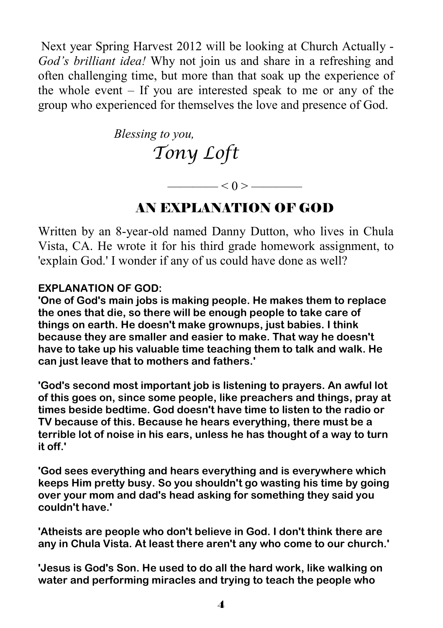Next year Spring Harvest 2012 will be looking at Church Actually - *God's brilliant idea!* Why not join us and share in a refreshing and often challenging time, but more than that soak up the experience of the whole event – If you are interested speak to me or any of the group who experienced for themselves the love and presence of God.

*Blessing to you,* 

# *Tony Loft*

### AN EXPLANATION OF GOD

 $\angle 0$  >  $\angle$ 

Written by an 8-year-old named Danny Dutton, who lives in Chula Vista, CA. He wrote it for his third grade homework assignment, to 'explain God.' I wonder if any of us could have done as well?

#### **EXPLANATION OF GOD:**

**'One of God's main jobs is making people. He makes them to replace the ones that die, so there will be enough people to take care of things on earth. He doesn't make grownups, just babies. I think because they are smaller and easier to make. That way he doesn't have to take up his valuable time teaching them to talk and walk. He can just leave that to mothers and fathers.'** 

**'God's second most important job is listening to prayers. An awful lot of this goes on, since some people, like preachers and things, pray at times beside bedtime. God doesn't have time to listen to the radio or TV because of this. Because he hears everything, there must be a terrible lot of noise in his ears, unless he has thought of a way to turn it off.'** 

**'God sees everything and hears everything and is everywhere which keeps Him pretty busy. So you shouldn't go wasting his time by going over your mom and dad's head asking for something they said you couldn't have.'** 

**'Atheists are people who don't believe in God. I don't think there are any in Chula Vista. At least there aren't any who come to our church.'** 

**'Jesus is God's Son. He used to do all the hard work, like walking on water and performing miracles and trying to teach the people who**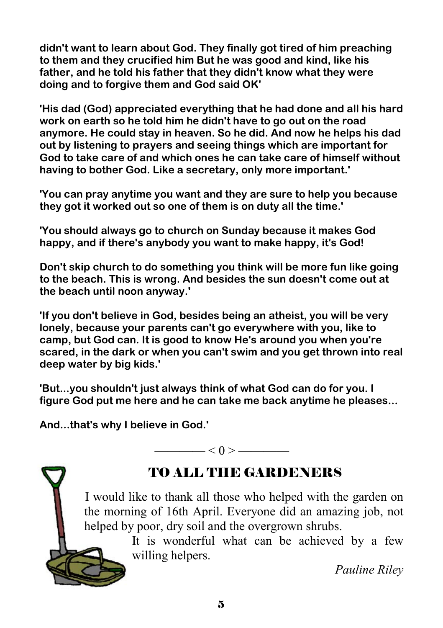**didn't want to learn about God. They finally got tired of him preaching to them and they crucified him But he was good and kind, like his father, and he told his father that they didn't know what they were doing and to forgive them and God said OK'** 

**'His dad (God) appreciated everything that he had done and all his hard work on earth so he told him he didn't have to go out on the road anymore. He could stay in heaven. So he did. And now he helps his dad out by listening to prayers and seeing things which are important for God to take care of and which ones he can take care of himself without having to bother God. Like a secretary, only more important.'** 

**'You can pray anytime you want and they are sure to help you because they got it worked out so one of them is on duty all the time.'** 

**'You should always go to church on Sunday because it makes God happy, and if there's anybody you want to make happy, it's God!** 

**Don't skip church to do something you think will be more fun like going to the beach. This is wrong. And besides the sun doesn't come out at the beach until noon anyway.'** 

**'If you don't believe in God, besides being an atheist, you will be very lonely, because your parents can't go everywhere with you, like to camp, but God can. It is good to know He's around you when you're scared, in the dark or when you can't swim and you get thrown into real deep water by big kids.'** 

**'But...you shouldn't just always think of what God can do for you. I figure God put me here and he can take me back anytime he pleases...** 

**And...that's why I believe in God.'** 

 $\leq 0$  >  $\qquad$ 

### TO ALL THE GARDENERS

I would like to thank all those who helped with the garden on the morning of 16th April. Everyone did an amazing job, not helped by poor, dry soil and the overgrown shrubs.

> It is wonderful what can be achieved by a few willing helpers.

> > *Pauline Riley*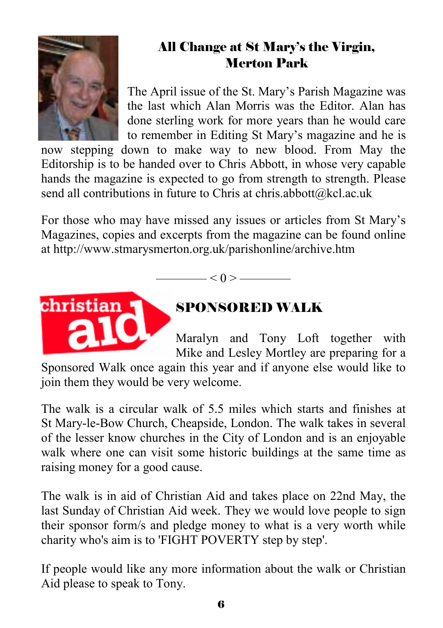

### All Change at St Mary's the Virgin, Merton Park

The April issue of the St. Mary's Parish Magazine was the last which Alan Morris was the Editor. Alan has done sterling work for more years than he would care to remember in Editing St Mary's magazine and he is

now stepping down to make way to new blood. From May the Editorship is to be handed over to Chris Abbott, in whose very capable hands the magazine is expected to go from strength to strength. Please send all contributions in future to Chris at chris.abbott@kcl.ac.uk

For those who may have missed any issues or articles from St Mary's Magazines, copies and excerpts from the magazine can be found online at http://www.stmarysmerton.org.uk/parishonline/archive.htm

 $< 0 >$  ——



### SPONSORED WALK

Maralyn and Tony Loft together with Mike and Lesley Mortley are preparing for a

Sponsored Walk once again this year and if anyone else would like to join them they would be very welcome.

The walk is a circular walk of 5.5 miles which starts and finishes at St Mary-le-Bow Church, Cheapside, London. The walk takes in several of the lesser know churches in the City of London and is an enjoyable walk where one can visit some historic buildings at the same time as raising money for a good cause.

The walk is in aid of Christian Aid and takes place on 22nd May, the last Sunday of Christian Aid week. They we would love people to sign their sponsor form/s and pledge money to what is a very worth while charity who's aim is to 'FIGHT POVERTY step by step'.

If people would like any more information about the walk or Christian Aid please to speak to Tony.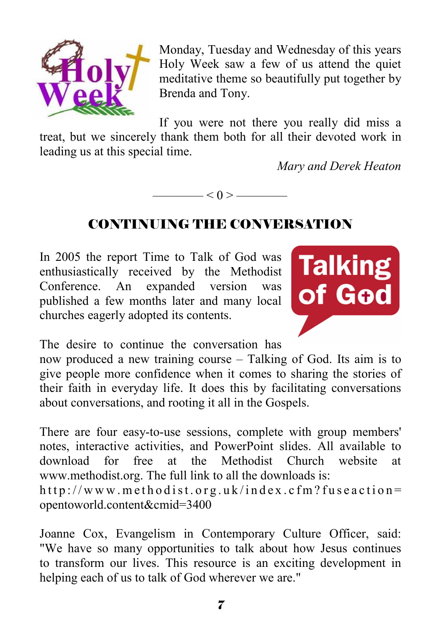

Monday, Tuesday and Wednesday of this years Holy Week saw a few of us attend the quiet meditative theme so beautifully put together by Brenda and Tony.

If you were not there you really did miss a treat, but we sincerely thank them both for all their devoted work in leading us at this special time.

*Mary and Derek Heaton* 

 $-$  < 0 >  $-$ 

#### CONTINUING THE CONVERSATION

In 2005 the report Time to Talk of God was enthusiastically received by the Methodist Conference. An expanded version was published a few months later and many local churches eagerly adopted its contents.



The desire to continue the conversation has

now produced a new training course – Talking of God. Its aim is to give people more confidence when it comes to sharing the stories of their faith in everyday life. It does this by facilitating conversations about conversations, and rooting it all in the Gospels.

There are four easy-to-use sessions, complete with group members' notes, interactive activities, and PowerPoint slides. All available to download for free at the Methodist Church website at www.methodist.org. The full link to all the downloads is:  $http://www.methodist.org.uk/index.cfm?fuseaction=$ opentoworld.content&cmid=3400

Joanne Cox, Evangelism in Contemporary Culture Officer, said: "We have so many opportunities to talk about how Jesus continues to transform our lives. This resource is an exciting development in helping each of us to talk of God wherever we are."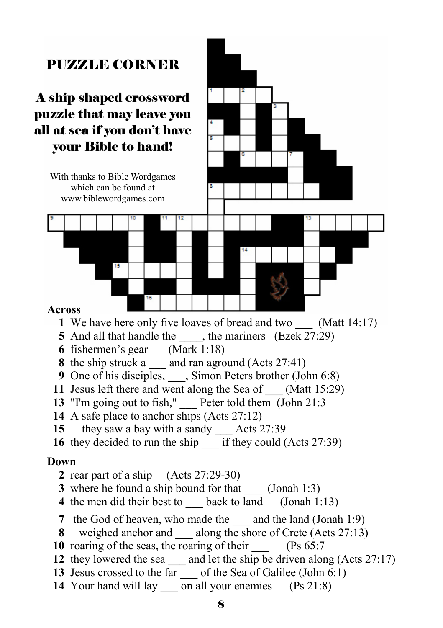

### A ship shaped crossword puzzle that may leave you all at sea if you don't have your Bible to hand!

With thanks to Bible Wordgames which can be found at www.biblewordgames.com



#### **Across**

- We have here only five loaves of bread and two (Matt 14:17)
- And all that handle the the mariners (Ezek 27:29)
- fishermen's gear (Mark 1:18)
- the ship struck a and ran aground (Acts 27:41)
- One of his disciples, Simon Peters brother (John 6:8)
- Jesus left there and went along the Sea of (Matt 15:29)
- "I'm going out to fish," Peter told them (John 21:3)
- A safe place to anchor ships (Acts 27:12)
- 15 they saw a bay with a sandy Acts 27:39
- they decided to run the ship if they could (Acts 27:39)

#### **Down**

- rear part of a ship (Acts 27:29-30)
- where he found a ship bound for that (Jonah 1:3)
- the men did their best to back to land (Jonah 1:13)
- the God of heaven, who made the and the land (Jonah 1:9)
- weighed anchor and \_\_\_ along the shore of Crete (Acts 27:13)
- roaring of the seas, the roaring of their (Ps 65:7)
- they lowered the sea and let the ship be driven along (Acts 27:17)
- Jesus crossed to the far \_\_\_ of the Sea of Galilee (John 6:1)
- Your hand will lay on all your enemies (Ps 21:8)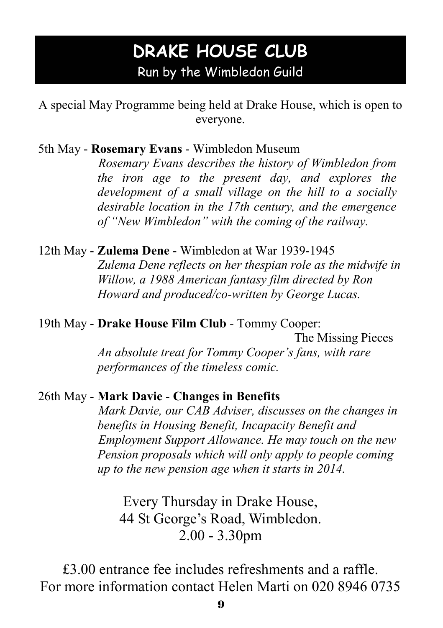## **DRAKE HOUSE CLUB**  Run by the Wimbledon Guild

A special May Programme being held at Drake House, which is open to everyone.

#### 5th May - **Rosemary Evans** - Wimbledon Museum

*Rosemary Evans describes the history of Wimbledon from the iron age to the present day, and explores the development of a small village on the hill to a socially desirable location in the 17th century, and the emergence of "New Wimbledon" with the coming of the railway.* 

12th May - **Zulema Dene** - Wimbledon at War 1939-1945 *Zulema Dene reflects on her thespian role as the midwife in Willow, a 1988 American fantasy film directed by Ron Howard and produced/co-written by George Lucas.* 

19th May - **Drake House Film Club** *-* Tommy Cooper:

The Missing Pieces

*An absolute treat for Tommy Cooper's fans, with rare performances of the timeless comic.* 

#### 26th May - **Mark Davie** - **Changes in Benefits**

*Mark Davie, our CAB Adviser, discusses on the changes in benefits in Housing Benefit, Incapacity Benefit and Employment Support Allowance. He may touch on the new Pension proposals which will only apply to people coming up to the new pension age when it starts in 2014.* 

Every Thursday in Drake House, 44 St George's Road, Wimbledon. 2.00 - 3.30pm

£3.00 entrance fee includes refreshments and a raffle. For more information contact Helen Marti on 020 8946 0735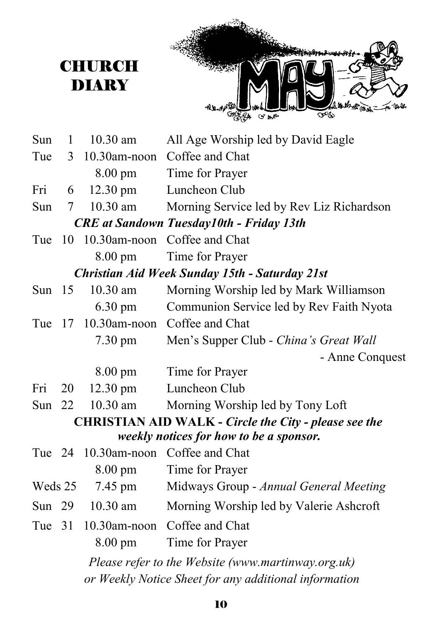

| Sun                                                          | 1                                                  | 10.30 am           | All Age Worship led by David Eagle        |
|--------------------------------------------------------------|----------------------------------------------------|--------------------|-------------------------------------------|
| Tue                                                          | 3                                                  |                    | 10.30am-noon Coffee and Chat              |
|                                                              |                                                    | $8.00 \text{ pm}$  | Time for Prayer                           |
| Fri                                                          | 6                                                  | $12.30 \text{ pm}$ | Luncheon Club                             |
| Sun                                                          | 7                                                  | 10.30 am           | Morning Service led by Rev Liz Richardson |
| <b>CRE</b> at Sandown Tuesday10th - Friday 13th              |                                                    |                    |                                           |
| Tue                                                          |                                                    |                    | 10 10.30am-noon Coffee and Chat           |
|                                                              |                                                    | $8.00 \text{ pm}$  | Time for Prayer                           |
| Christian Aid Week Sunday 15th - Saturday 21st               |                                                    |                    |                                           |
| Sun                                                          | 15                                                 | $10.30$ am         | Morning Worship led by Mark Williamson    |
|                                                              |                                                    | $6.30 \text{ pm}$  | Communion Service led by Rev Faith Nyota  |
| Tue 17                                                       |                                                    |                    | 10.30am-noon Coffee and Chat              |
|                                                              |                                                    | $7.30 \text{ pm}$  | Men's Supper Club - China's Great Wall    |
|                                                              |                                                    |                    | - Anne Conquest                           |
|                                                              |                                                    | $8.00 \text{ pm}$  | Time for Prayer                           |
| Fri                                                          | 20                                                 | $12.30 \text{ pm}$ | Luncheon Club                             |
| Sun                                                          | 22                                                 | 10.30 am           | Morning Worship led by Tony Loft          |
| <b>CHRISTIAN AID WALK - Circle the City - please see the</b> |                                                    |                    |                                           |
| weekly notices for how to be a sponsor.                      |                                                    |                    |                                           |
| Tue 24                                                       |                                                    |                    | 10.30am-noon Coffee and Chat              |
|                                                              |                                                    | $8.00 \text{ pm}$  | Time for Prayer                           |
| Weds 25                                                      |                                                    | 7.45 pm            | Midways Group - Annual General Meeting    |
| Sun $29$                                                     |                                                    | 10.30 am           | Morning Worship led by Valerie Ashcroft   |
| Tue 31                                                       |                                                    |                    | 10.30am-noon Coffee and Chat              |
|                                                              |                                                    | $8.00 \text{ pm}$  | Time for Prayer                           |
|                                                              | Please refer to the Website (www.martinway.org.uk) |                    |                                           |
| or Weekly Notice Sheet for any additional information        |                                                    |                    |                                           |

**CHURCH DIARY**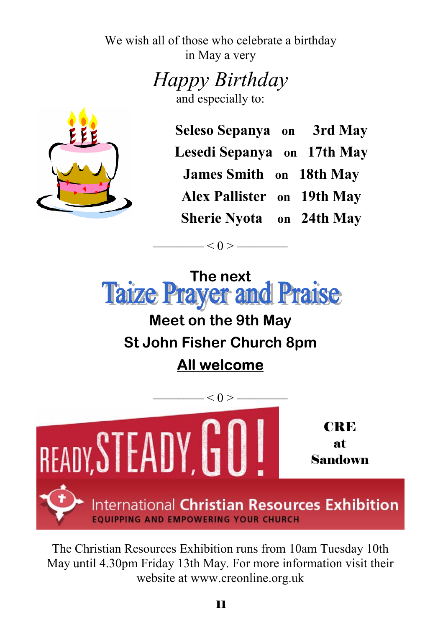We wish all of those who celebrate a birthday in May a very

*Happy Birthday* 

and especially to:



**Seleso Sepanya on 3rd May Lesedi Sepanya on 17th May James Smith on 18th May Alex Pallister on 19th May Sherie Nyota on 24th May**



 $-$  < 0 >  $-$ 

## **Meet on the 9th May St John Fisher Church 8pm All welcome**

 $-< 0 > -$ READY, STEADY, GO! **CRE** at Sandown International Christian Resources Exhibition **IG AND EMPOWERING YOUR CHURCH** 

The Christian Resources Exhibition runs from 10am Tuesday 10th May until 4.30pm Friday 13th May. For more information visit their website at www.creonline.org.uk